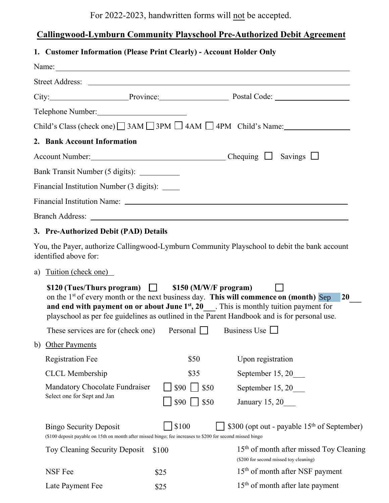For 2022-2023, handwritten forms will not be accepted.

## **Callingwood-Lymburn Community Playschool Pre-Authorized Debit Agreement**

## **1. Customer Information (Please Print Clearly) - Account Holder Only**

|    |                                                                                                                                             |              | City: Province: Province: Postal Code: 2008.                                                                                                                                                                                                                                                   |
|----|---------------------------------------------------------------------------------------------------------------------------------------------|--------------|------------------------------------------------------------------------------------------------------------------------------------------------------------------------------------------------------------------------------------------------------------------------------------------------|
|    | Telephone Number:                                                                                                                           |              |                                                                                                                                                                                                                                                                                                |
|    |                                                                                                                                             |              | Child's Class (check one) $\Box$ 3AM $\Box$ 3PM $\Box$ 4AM $\Box$ 4PM Child's Name:                                                                                                                                                                                                            |
|    | 2. Bank Account Information                                                                                                                 |              |                                                                                                                                                                                                                                                                                                |
|    |                                                                                                                                             |              |                                                                                                                                                                                                                                                                                                |
|    | Bank Transit Number (5 digits): ____________                                                                                                |              |                                                                                                                                                                                                                                                                                                |
|    | Financial Institution Number (3 digits): _____                                                                                              |              |                                                                                                                                                                                                                                                                                                |
|    |                                                                                                                                             |              |                                                                                                                                                                                                                                                                                                |
|    |                                                                                                                                             |              |                                                                                                                                                                                                                                                                                                |
|    | 3. Pre-Authorized Debit (PAD) Details                                                                                                       |              |                                                                                                                                                                                                                                                                                                |
|    | identified above for:                                                                                                                       |              | You, the Payer, authorize Callingwood-Lymburn Community Playschool to debit the bank account                                                                                                                                                                                                   |
| a) | Tuition (check one)                                                                                                                         |              |                                                                                                                                                                                                                                                                                                |
|    | \$120 (Tues/Thurs program) $\Box$ \$150 (M/W/F program)                                                                                     |              | on the $1st$ of every month or the next business day. This will commence on (month) Sep<br><b>20</b><br>and end with payment on or about June $1st$ , 20 . This is monthly tuition payment for<br>playschool as per fee guidelines as outlined in the Parent Handbook and is for personal use. |
|    | These services are for (check one) Personal $\Box$ Business Use $\Box$                                                                      |              |                                                                                                                                                                                                                                                                                                |
| b) | <b>Other Payments</b>                                                                                                                       |              |                                                                                                                                                                                                                                                                                                |
|    | <b>Registration Fee</b>                                                                                                                     | \$50         | Upon registration                                                                                                                                                                                                                                                                              |
|    | <b>CLCL</b> Membership                                                                                                                      | \$35         | September 15, 20                                                                                                                                                                                                                                                                               |
|    | Mandatory Chocolate Fundraiser<br>Select one for Sept and Jan                                                                               | \$90<br>\$50 | September 15, 20____                                                                                                                                                                                                                                                                           |
|    |                                                                                                                                             |              | January 15, 20                                                                                                                                                                                                                                                                                 |
|    | <b>Bingo Security Deposit</b><br>(\$100 deposit payable on 15th on month after missed bingo; fee increases to \$200 for second missed bingo | \$100        | \$300 (opt out - payable 15 <sup>th</sup> of September)                                                                                                                                                                                                                                        |
|    | Toy Cleaning Security Deposit                                                                                                               | \$100        | 15 <sup>th</sup> of month after missed Toy Cleaning<br>(\$200 for second missed toy cleaning)                                                                                                                                                                                                  |
|    | NSF Fee                                                                                                                                     | \$25         | 15 <sup>th</sup> of month after NSF payment                                                                                                                                                                                                                                                    |
|    | Late Payment Fee                                                                                                                            | \$25         | $15th$ of month after late payment                                                                                                                                                                                                                                                             |